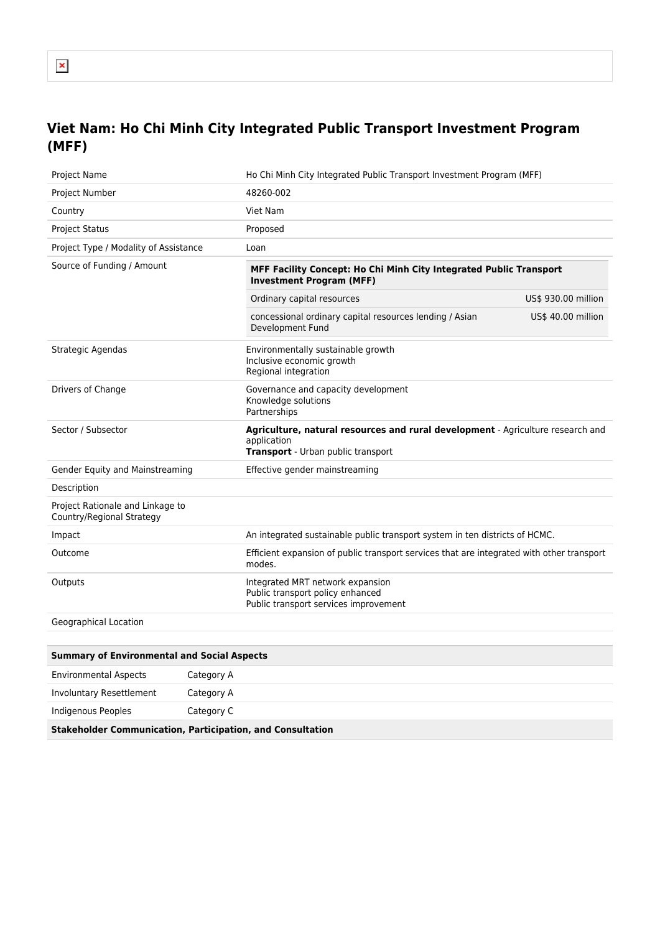## **Viet Nam: Ho Chi Minh City Integrated Public Transport Investment Program (MFF)**

| <b>Project Name</b>                                           | Ho Chi Minh City Integrated Public Transport Investment Program (MFF)                                                                |                     |
|---------------------------------------------------------------|--------------------------------------------------------------------------------------------------------------------------------------|---------------------|
| Project Number                                                | 48260-002                                                                                                                            |                     |
| Country                                                       | Viet Nam                                                                                                                             |                     |
| <b>Project Status</b>                                         | Proposed                                                                                                                             |                     |
| Project Type / Modality of Assistance                         | Loan                                                                                                                                 |                     |
| Source of Funding / Amount                                    | MFF Facility Concept: Ho Chi Minh City Integrated Public Transport<br><b>Investment Program (MFF)</b>                                |                     |
|                                                               | Ordinary capital resources                                                                                                           | US\$ 930.00 million |
|                                                               | concessional ordinary capital resources lending / Asian<br>Development Fund                                                          | US\$ 40.00 million  |
| Strategic Agendas                                             | Environmentally sustainable growth<br>Inclusive economic growth<br>Regional integration                                              |                     |
| Drivers of Change                                             | Governance and capacity development<br>Knowledge solutions<br>Partnerships                                                           |                     |
| Sector / Subsector                                            | Agriculture, natural resources and rural development - Agriculture research and<br>application<br>Transport - Urban public transport |                     |
| Gender Equity and Mainstreaming                               | Effective gender mainstreaming                                                                                                       |                     |
| Description                                                   |                                                                                                                                      |                     |
| Project Rationale and Linkage to<br>Country/Regional Strategy |                                                                                                                                      |                     |
| Impact                                                        | An integrated sustainable public transport system in ten districts of HCMC.                                                          |                     |
| Outcome                                                       | Efficient expansion of public transport services that are integrated with other transport<br>modes.                                  |                     |
| Outputs                                                       | Integrated MRT network expansion<br>Public transport policy enhanced<br>Public transport services improvement                        |                     |
| Geographical Location                                         |                                                                                                                                      |                     |

| <b>Summary of Environmental and Social Aspects</b>                |            |  |
|-------------------------------------------------------------------|------------|--|
| <b>Environmental Aspects</b>                                      | Category A |  |
| Involuntary Resettlement                                          | Category A |  |
| Indigenous Peoples                                                | Category C |  |
| <b>Stakeholder Communication, Participation, and Consultation</b> |            |  |